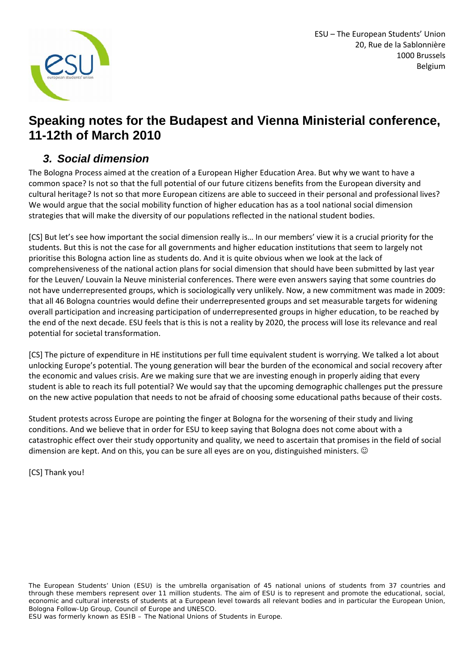

ESU – The European Students' Union 20, Rue de la Sablonnière 1000 Brussels Belgium

#### **Speaking notes for the Budapest and Vienna Ministerial conference, 11-12th of March 2010**

#### *3. Social dimension*

The Bologna Process aimed at the creation of a European Higher Education Area. But why we want to have a common space? Is not so that the full potential of our future citizens benefits from the European diversity and cultural heritage? Is not so that more European citizens are able to succeed in their personal and professional lives? We would argue that the social mobility function of higher education has as a tool national social dimension strategies that will make the diversity of our populations reflected in the national student bodies.

[CS] But let's see how important the social dimension really is… In our members' view it is a crucial priority for the students. But this is not the case for all governments and higher education institutions that seem to largely not prioritise this Bologna action line as students do. And it is quite obvious when we look at the lack of comprehensiveness of the national action plans for social dimension that should have been submitted by last year for the Leuven/ Louvain la Neuve ministerial conferences. There were even answers saying that some countries do not have underrepresented groups, which is sociologically very unlikely. Now, a new commitment was made in 2009: that all 46 Bologna countries would define their underrepresented groups and set measurable targets for widening overall participation and increasing participation of underrepresented groups in higher education, to be reached by the end of the next decade. ESU feels that is this is not a reality by 2020, the process will lose its relevance and real potential for societal transformation.

[CS] The picture of expenditure in HE institutions per full time equivalent student is worrying. We talked a lot about unlocking Europe's potential. The young generation will bear the burden of the economical and social recovery after the economic and values crisis. Are we making sure that we are investing enough in properly aiding that every student is able to reach its full potential? We would say that the upcoming demographic challenges put the pressure on the new active population that needs to not be afraid of choosing some educational paths because of their costs.

Student protests across Europe are pointing the finger at Bologna for the worsening of their study and living conditions. And we believe that in order for ESU to keep saying that Bologna does not come about with a catastrophic effect over their study opportunity and quality, we need to ascertain that promises in the field of social dimension are kept. And on this, you can be sure all eyes are on you, distinguished ministers.  $\odot$ 

[CS] Thank you!

*The European Students' Union (ESU) is the umbrella organisation of 45 national unions of students from 37 countries and through these members represent over 11 million students. The aim of ESU is to represent and promote the educational, social, economic and cultural interests of students at a European level towards all relevant bodies and in particular the European Union, Bologna Follow-Up Group, Council of Europe and UNESCO.* 

*ESU was formerly known as ESIB – The National Unions of Students in Europe.*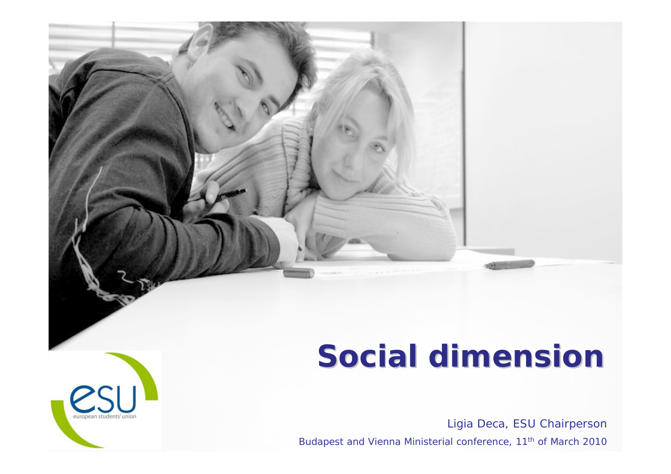# **Social dimension Social dimension**

Ligia Deca, ESU Chairperson Budapest and Vienna Ministerial conference, 11<sup>th</sup> of March 2010

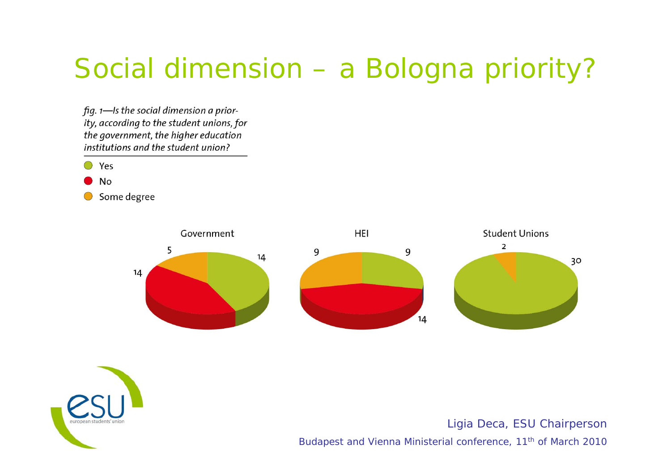## Social dimension – a Bologna priority?

fig.  $1$ —Is the social dimension a priority, according to the student unions, for the government, the higher education institutions and the student union?







Ligia Deca, ESU Chairperson

Budapest and Vienna Ministerial conference, 11<sup>th</sup> of March 2010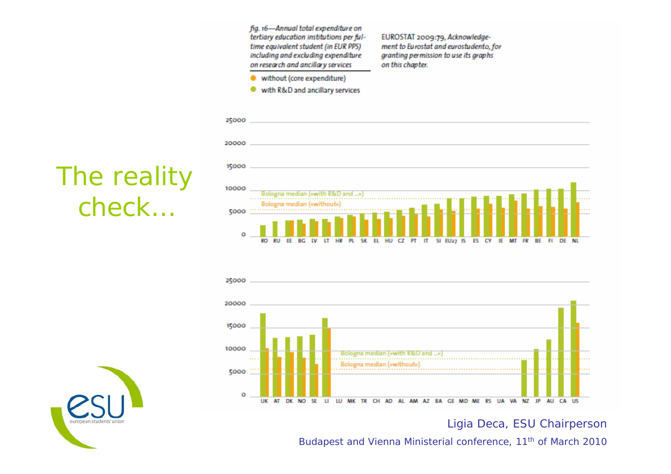fia. 16-Annual total expenditure on tertiary education institutions per fultime equivalent student (in EUR PPS) including and excluding expenditure on research and ancillary services

EUROSTAT 2009:79, Acknowledgement to Eurostat and eurostudento, for granting permission to use its graphs on this chapter.

- without (core expenditure) ٠
- with R&D and ancillary services





Ligia Deca, ESU Chairperson

Budapest and Vienna Ministerial conference, 11<sup>th</sup> of March 2010